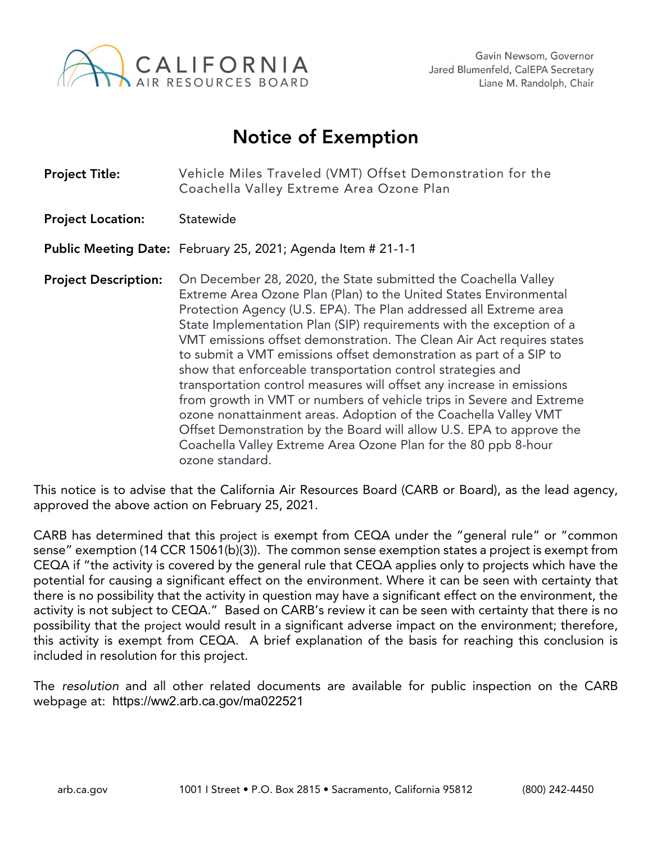

## Notice of Exemption

| <b>Project Title:</b>       | Vehicle Miles Traveled (VMT) Offset Demonstration for the<br>Coachella Valley Extreme Area Ozone Plan                                                                                                                                                                                                                                                                                                                                                                                                                                                                                                                                                                                                                                                                                                                                                                           |
|-----------------------------|---------------------------------------------------------------------------------------------------------------------------------------------------------------------------------------------------------------------------------------------------------------------------------------------------------------------------------------------------------------------------------------------------------------------------------------------------------------------------------------------------------------------------------------------------------------------------------------------------------------------------------------------------------------------------------------------------------------------------------------------------------------------------------------------------------------------------------------------------------------------------------|
| <b>Project Location:</b>    | Statewide                                                                                                                                                                                                                                                                                                                                                                                                                                                                                                                                                                                                                                                                                                                                                                                                                                                                       |
|                             | Public Meeting Date: February 25, 2021; Agenda Item # 21-1-1                                                                                                                                                                                                                                                                                                                                                                                                                                                                                                                                                                                                                                                                                                                                                                                                                    |
| <b>Project Description:</b> | On December 28, 2020, the State submitted the Coachella Valley<br>Extreme Area Ozone Plan (Plan) to the United States Environmental<br>Protection Agency (U.S. EPA). The Plan addressed all Extreme area<br>State Implementation Plan (SIP) requirements with the exception of a<br>VMT emissions offset demonstration. The Clean Air Act requires states<br>to submit a VMT emissions offset demonstration as part of a SIP to<br>show that enforceable transportation control strategies and<br>transportation control measures will offset any increase in emissions<br>from growth in VMT or numbers of vehicle trips in Severe and Extreme<br>ozone nonattainment areas. Adoption of the Coachella Valley VMT<br>Offset Demonstration by the Board will allow U.S. EPA to approve the<br>Coachella Valley Extreme Area Ozone Plan for the 80 ppb 8-hour<br>ozone standard. |

This notice is to advise that the California Air Resources Board (CARB or Board), as the lead agency, approved the above action on February 25, 2021.

CARB has determined that this project is exempt from CEQA under the "general rule" or "common sense" exemption (14 CCR 15061(b)(3)). The common sense exemption states a project is exempt from CEQA if "the activity is covered by the general rule that CEQA applies only to projects which have the potential for causing a significant effect on the environment. Where it can be seen with certainty that there is no possibility that the activity in question may have a significant effect on the environment, the activity is not subject to CEQA." Based on CARB's review it can be seen with certainty that there is no possibility that the project would result in a significant adverse impact on the environment; therefore, this activity is exempt from CEQA. A brief explanation of the basis for reaching this conclusion is included in resolution for this project*.*

The *resolution* and all other related documents are available for public inspection on the CARB webpage at: https://ww2.arb.ca.gov/ma022521